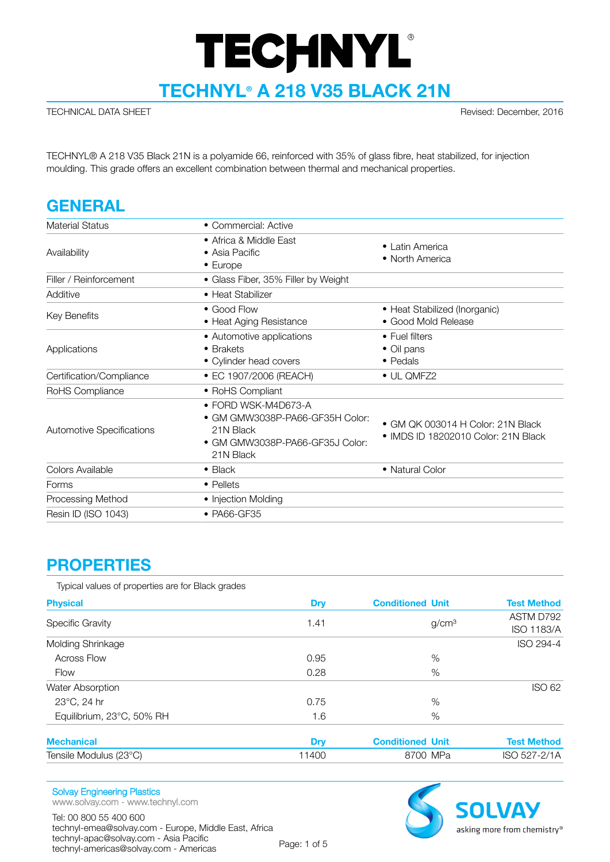# **TECHNYL®**

**TECHNYL® A 218 V35 BLACK 21N**

TECHNICAL DATA SHEET Revised: December, 2016

TECHNYL® A 218 V35 Black 21N is a polyamide 66, reinforced with 35% of glass fibre, heat stabilized, for injection moulding. This grade offers an excellent combination between thermal and mechanical properties.

# **GENERAL**

| Material Status                  | • Commercial: Active                                                                                                |                                                                                  |
|----------------------------------|---------------------------------------------------------------------------------------------------------------------|----------------------------------------------------------------------------------|
| Availability                     | • Africa & Middle East<br>• Asia Pacific<br>• Europe                                                                | • Latin America<br>• North America                                               |
| Filler / Reinforcement           | • Glass Fiber, 35% Filler by Weight                                                                                 |                                                                                  |
| Additive                         | • Heat Stabilizer                                                                                                   |                                                                                  |
| Key Benefits                     | • Good Flow<br>• Heat Aging Resistance                                                                              | • Heat Stabilized (Inorganic)<br>• Good Mold Release                             |
| Applications                     | • Automotive applications<br>• Brakets<br>• Cylinder head covers                                                    | • Fuel filters<br>• Oil pans<br>$\bullet$ Pedals                                 |
| Certification/Compliance         | • EC 1907/2006 (REACH)                                                                                              | • UL QMFZ2                                                                       |
| RoHS Compliance                  | • RoHS Compliant                                                                                                    |                                                                                  |
| <b>Automotive Specifications</b> | • FORD WSK-M4D673-A<br>• GM GMW3038P-PA66-GF35H Color:<br>21N Black<br>• GM GMW3038P-PA66-GF35J Color:<br>21N Black | $\bullet$ GM OK 003014 H Color: 21N Black<br>• IMDS ID 18202010 Color: 21N Black |
| Colors Available                 | $\bullet$ Black                                                                                                     | • Natural Color                                                                  |
| Forms                            | • Pellets                                                                                                           |                                                                                  |
| Processing Method                | • Injection Molding                                                                                                 |                                                                                  |
| Resin ID (ISO 1043)              | • PA66-GF35                                                                                                         |                                                                                  |

#### **PROPERTIES**

Typical values of properties are for Black grades

| <b>Physical</b>           | Dry   | <b>Conditioned Unit</b> | <b>Test Method</b>             |
|---------------------------|-------|-------------------------|--------------------------------|
| <b>Specific Gravity</b>   | 1.41  | g/cm <sup>3</sup>       | ASTM D792<br><b>ISO 1183/A</b> |
| Molding Shrinkage         |       |                         | ISO 294-4                      |
| <b>Across Flow</b>        | 0.95  | $\%$                    |                                |
| Flow                      | 0.28  | $\%$                    |                                |
| Water Absorption          |       |                         | <b>ISO 62</b>                  |
| 23°C, 24 hr               | 0.75  | %                       |                                |
| Equilibrium, 23°C, 50% RH | 1.6   | %                       |                                |
| <b>Mechanical</b>         | Dry   | <b>Conditioned Unit</b> | <b>Test Method</b>             |
| Tensile Modulus (23°C)    | 11400 | 8700 MPa                | ISO 527-2/1A                   |

#### Solvay Engineering Plastics

www.solvay.com - www.technyl.com

Tel: 00 800 55 400 600 technyl-emea@solvay.com - Europe, Middle East, Africa technyl-apac@solvay.com - Asia Pacific technyl-americas@solvay.com - Americas Page: 1 of 5

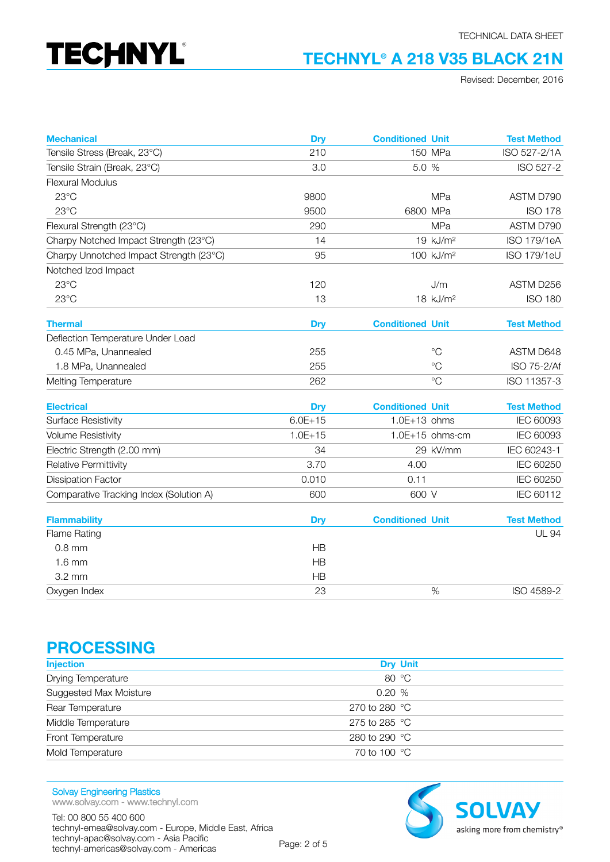# **TECHNYL®**

#### **TECHNYL® A 218 V35 BLACK 21N**

Revised: December, 2016

| <b>Mechanical</b>                       | <b>Dry</b>  | <b>Conditioned Unit</b> |                       | <b>Test Method</b> |
|-----------------------------------------|-------------|-------------------------|-----------------------|--------------------|
| Tensile Stress (Break, 23°C)            | 210         |                         | 150 MPa               | ISO 527-2/1A       |
| Tensile Strain (Break, 23°C)            | 3.0         | 5.0 %                   |                       | ISO 527-2          |
| <b>Flexural Modulus</b>                 |             |                         |                       |                    |
| 23°C                                    | 9800        |                         | <b>MPa</b>            | ASTM D790          |
| $23^{\circ}$ C                          | 9500        | 6800 MPa                |                       | <b>ISO 178</b>     |
| Flexural Strength (23°C)                | 290         |                         | <b>MPa</b>            | ASTM D790          |
| Charpy Notched Impact Strength (23°C)   | 14          |                         | 19 kJ/m <sup>2</sup>  | <b>ISO 179/1eA</b> |
| Charpy Unnotched Impact Strength (23°C) | 95          |                         | 100 kJ/m <sup>2</sup> | <b>ISO 179/1eU</b> |
| Notched Izod Impact                     |             |                         |                       |                    |
| 23°C                                    | 120         |                         | J/m                   | ASTM D256          |
| 23°C                                    | 13          |                         | 18 kJ/m <sup>2</sup>  | <b>ISO 180</b>     |
| <b>Thermal</b>                          | <b>Dry</b>  | <b>Conditioned Unit</b> |                       | <b>Test Method</b> |
| Deflection Temperature Under Load       |             |                         |                       |                    |
| 0.45 MPa, Unannealed                    | 255         |                         | $^{\circ}C$           | ASTM D648          |
| 1.8 MPa, Unannealed                     | 255         |                         | $^{\circ}$ C          | ISO 75-2/Af        |
| Melting Temperature                     | 262         |                         | $^{\circ}C$           | ISO 11357-3        |
| <b>Electrical</b>                       | <b>Dry</b>  | <b>Conditioned Unit</b> |                       | <b>Test Method</b> |
| <b>Surface Resistivity</b>              | $6.0E + 15$ | $1.0E+13$ ohms          |                       | IEC 60093          |
| <b>Volume Resistivity</b>               | $1.0E + 15$ |                         | 1.0E+15 ohms·cm       | IEC 60093          |
| Electric Strength (2.00 mm)             | 34          |                         | 29 kV/mm              | IEC 60243-1        |
| Relative Permittivity                   | 3.70        | 4.00                    |                       | IEC 60250          |
| <b>Dissipation Factor</b>               | 0.010       | 0.11                    |                       | IEC 60250          |
| Comparative Tracking Index (Solution A) | 600         | 600 V                   |                       | IEC 60112          |
| <b>Flammability</b>                     | <b>Dry</b>  | <b>Conditioned Unit</b> |                       | <b>Test Method</b> |
| <b>Flame Rating</b>                     |             |                         |                       | <b>UL 94</b>       |
| $0.8$ mm                                | HB          |                         |                       |                    |
| $1.6$ mm                                | <b>HB</b>   |                         |                       |                    |
| $3.2 \text{ mm}$                        | HB          |                         |                       |                    |
| Oxygen Index                            | 23          |                         | %                     | ISO 4589-2         |

#### **PROCESSING**

| <b>Dry Unit</b>         |  |
|-------------------------|--|
| 80 °C                   |  |
| 0.20%                   |  |
| 270 to 280 $^{\circ}$ C |  |
| 275 to 285 $^{\circ}$ C |  |
| 280 to 290 °C           |  |
| 70 to 100 °C            |  |
|                         |  |

Solvay Engineering Plastics www.solvay.com - www.technyl.com

Tel: 00 800 55 400 600 technyl-emea@solvay.com - Europe, Middle East, Africa technyl-apac@solvay.com - Asia Pacific technyl-americas@solvay.com - Americas Page: 2 of 5

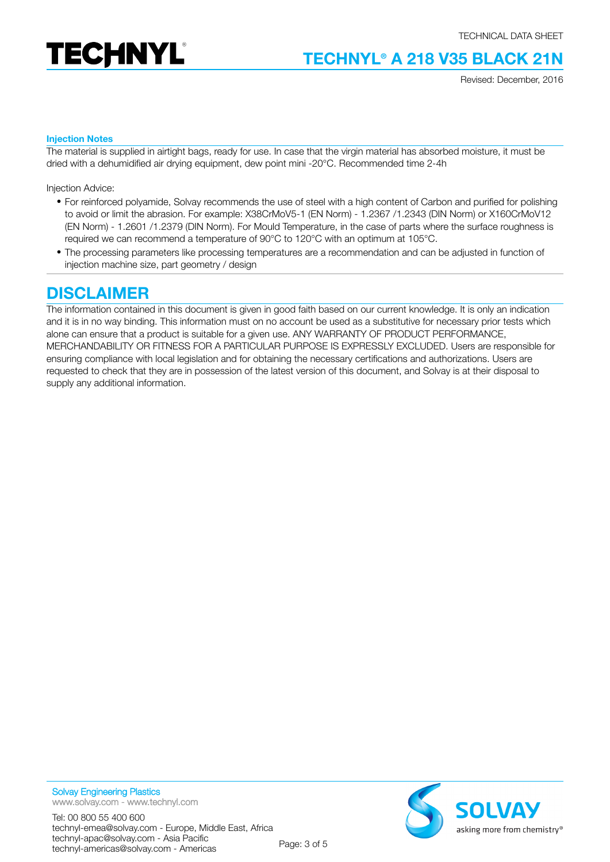

# **TECHNYL® A 218 V35 BLACK 21N**

Revised: December, 2016

#### **Injection Notes**

The material is supplied in airtight bags, ready for use. In case that the virgin material has absorbed moisture, it must be dried with a dehumidified air drying equipment, dew point mini -20°C. Recommended time 2-4h

Injection Advice:

- For reinforced polyamide, Solvay recommends the use of steel with a high content of Carbon and purified for polishing to avoid or limit the abrasion. For example: X38CrMoV5-1 (EN Norm) - 1.2367 /1.2343 (DIN Norm) or X160CrMoV12 (EN Norm) - 1.2601 /1.2379 (DIN Norm). For Mould Temperature, in the case of parts where the surface roughness is required we can recommend a temperature of 90°C to 120°C with an optimum at 105°C.
- The processing parameters like processing temperatures are a recommendation and can be adjusted in function of injection machine size, part geometry / design

#### **DISCLAIMER**

The information contained in this document is given in good faith based on our current knowledge. It is only an indication and it is in no way binding. This information must on no account be used as a substitutive for necessary prior tests which alone can ensure that a product is suitable for a given use. ANY WARRANTY OF PRODUCT PERFORMANCE, MERCHANDABILITY OR FITNESS FOR A PARTICULAR PURPOSE IS EXPRESSLY EXCLUDED. Users are responsible for ensuring compliance with local legislation and for obtaining the necessary certifications and authorizations. Users are requested to check that they are in possession of the latest version of this document, and Solvay is at their disposal to supply any additional information.



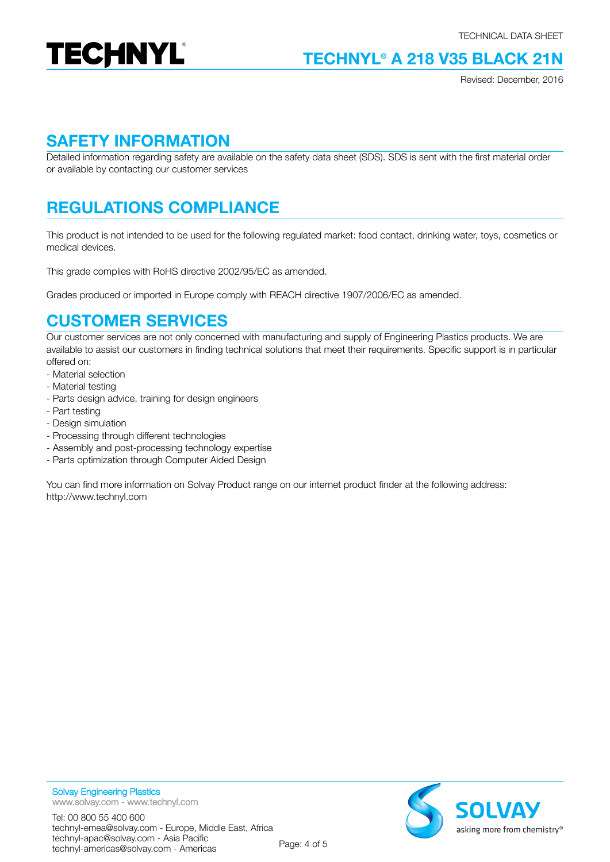

## **TECHNYL® A 218 V35 BLACK 21N**

Revised: December, 2016

#### **SAFETY INFORMATION**

Detailed information regarding safety are available on the safety data sheet (SDS). SDS is sent with the first material order or available by contacting our customer services

# **REGULATIONS COMPLIANCE**

This product is not intended to be used for the following regulated market: food contact, drinking water, toys, cosmetics or medical devices.

This grade complies with RoHS directive 2002/95/EC as amended.

Grades produced or imported in Europe comply with REACH directive 1907/2006/EC as amended.

#### **CUSTOMER SERVICES**

Our customer services are not only concerned with manufacturing and supply of Engineering Plastics products. We are available to assist our customers in finding technical solutions that meet their requirements. Specific support is in particular offered on:

- Material selection
- Material testing
- Parts design advice, training for design engineers
- Part testing
- Design simulation
- Processing through different technologies
- Assembly and post-processing technology expertise
- Parts optimization through Computer Aided Design

You can find more information on Solvay Product range on our internet product finder at the following address: http://www.technyl.com